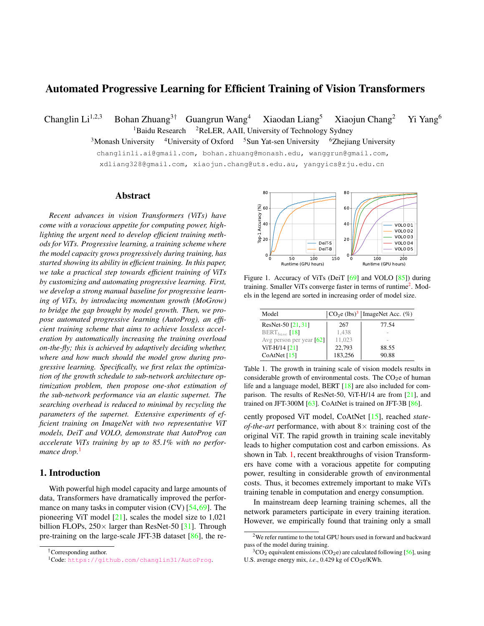# Automated Progressive Learning for Efficient Training of Vision Transformers

Changlin Li<sup>1,2,3</sup> Bohan Zhuang<sup>3†</sup> Guangrun Wang<sup>4</sup> Xiaodan Liang<sup>5</sup> Xiaojun Chang<sup>2</sup> Yi Yang<sup>6</sup>  $1B$ aidu Research  $2R$ eLER, AAII, University of Technology Sydney

<sup>3</sup>Monash University <sup>4</sup>University of Oxford <sup>5</sup>Sun Yat-sen University <sup>6</sup>Zhejiang University changlinli.ai@gmail.com, bohan.zhuang@monash.edu, wanggrun@gmail.com,

xdliang328@gmail.com, xiaojun.chang@uts.edu.au, yangyics@zju.edu.cn

#### Abstract

*Recent advances in vision Transformers (ViTs) have come with a voracious appetite for computing power, highlighting the urgent need to develop efficient training methods for ViTs. Progressive learning, a training scheme where the model capacity grows progressively during training, has started showing its ability in efficient training. In this paper, we take a practical step towards efficient training of ViTs by customizing and automating progressive learning. First, we develop a strong manual baseline for progressive learning of ViTs, by introducing momentum growth (MoGrow) to bridge the gap brought by model growth. Then, we propose automated progressive learning (AutoProg), an efficient training scheme that aims to achieve lossless acceleration by automatically increasing the training overload on-the-fly; this is achieved by adaptively deciding whether, where and how much should the model grow during progressive learning. Specifically, we first relax the optimization of the growth schedule to sub-network architecture optimization problem, then propose one-shot estimation of the sub-network performance via an elastic supernet. The searching overhead is reduced to minimal by recycling the parameters of the supernet. Extensive experiments of efficient training on ImageNet with two representative ViT models, DeiT and VOLO, demonstrate that AutoProg can accelerate ViTs training by up to 85.1% with no perfor*mance drop.<sup>1</sup>

### 1. Introduction

With powerful high model capacity and large amounts of data, Transformers have dramatically improved the performance on many tasks in computer vision  $(CV)$  [54,69]. The pioneering ViT model [21], scales the model size to 1,021 billion FLOPs,  $250 \times$  larger than ResNet-50 [31]. Through pre-training on the large-scale JFT-3B dataset [86], the re-

†Corresponding author.



Figure 1. Accuracy of ViTs (DeiT [69] and VOLO [85]) during training. Smaller ViTs converge faster in terms of runtime<sup>2</sup>. Models in the legend are sorted in increasing order of model size.

| Model                                  | $ CO_2e$ (lbs) <sup>3</sup>   ImageNet Acc. (%) |       |  |  |
|----------------------------------------|-------------------------------------------------|-------|--|--|
| ResNet-50 [21, 31]                     | 267                                             | 77.54 |  |  |
| $BERT_{base}$ [18]                     | 1,438                                           |       |  |  |
| Avg person per year $\lceil 62 \rceil$ | 11.023                                          |       |  |  |
| ViT-H/14 [21]                          | 22,793                                          | 88.55 |  |  |
| CoAtNet $[15]$                         | 183,256                                         | 90.88 |  |  |

Table 1. The growth in training scale of vision models results in considerable growth of environmental costs. The  $CO<sub>2</sub>e$  of human life and a language model, BERT [18] are also included for comparison. The results of ResNet-50, ViT-H/14 are from [21], and trained on JFT-300M [63]. CoAtNet is trained on JFT-3B [86].

cently proposed ViT model, CoAtNet [15], reached *stateof-the-art* performance, with about  $8 \times$  training cost of the original ViT. The rapid growth in training scale inevitably leads to higher computation cost and carbon emissions. As shown in Tab. 1, recent breakthroughs of vision Transformers have come with a voracious appetite for computing power, resulting in considerable growth of environmental costs. Thus, it becomes extremely important to make ViTs training tenable in computation and energy consumption.

In mainstream deep learning training schemes, all the network parameters participate in every training iteration. However, we empirically found that training only a small

<sup>1</sup>Code: https://github.com/changlin31/AutoProg.

<sup>2</sup>We refer runtime to the total GPU hours used in forward and backward pass of the model during training.

 $3CO<sub>2</sub>$  equivalent emissions (CO<sub>2</sub>e) are calculated following [56], using U.S. average energy mix, *i.e.*, 0.429 kg of CO<sub>2</sub>e/KWh.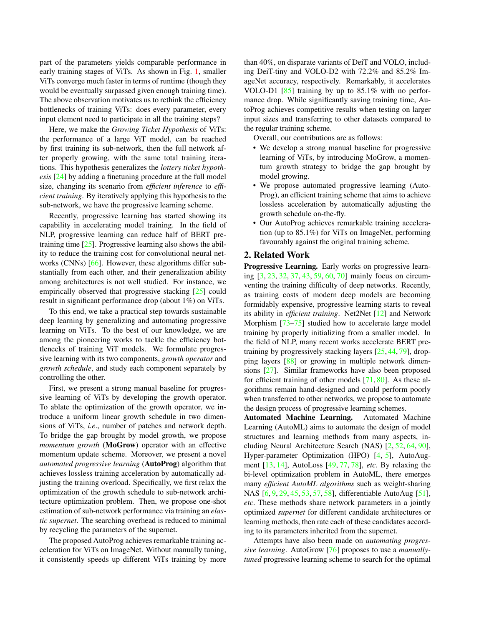part of the parameters yields comparable performance in early training stages of ViTs. As shown in Fig. 1, smaller ViTs converge much faster in terms of runtime (though they would be eventually surpassed given enough training time). The above observation motivates us to rethink the efficiency bottlenecks of training ViTs: does every parameter, every input element need to participate in all the training steps?

Here, we make the *Growing Ticket Hypothesis* of ViTs: the performance of a large ViT model, can be reached by first training its sub-network, then the full network after properly growing, with the same total training iterations. This hypothesis generalizes the *lottery ticket hypothesis* [24] by adding a finetuning procedure at the full model size, changing its scenario from *efficient inference* to *efficient training*. By iteratively applying this hypothesis to the sub-network, we have the progressive learning scheme.

Recently, progressive learning has started showing its capability in accelerating model training. In the field of NLP, progressive learning can reduce half of BERT pretraining time [25]. Progressive learning also shows the ability to reduce the training cost for convolutional neural networks (CNNs) [66]. However, these algorithms differ substantially from each other, and their generalization ability among architectures is not well studied. For instance, we empirically observed that progressive stacking [25] could result in significant performance drop (about 1%) on ViTs.

To this end, we take a practical step towards sustainable deep learning by generalizing and automating progressive learning on ViTs. To the best of our knowledge, we are among the pioneering works to tackle the efficiency bottlenecks of training ViT models. We formulate progressive learning with its two components, *growth operator* and *growth schedule*, and study each component separately by controlling the other.

First, we present a strong manual baseline for progressive learning of ViTs by developing the growth operator. To ablate the optimization of the growth operator, we introduce a uniform linear growth schedule in two dimensions of ViTs, *i.e*., number of patches and network depth. To bridge the gap brought by model growth, we propose *momentum growth* (MoGrow) operator with an effective momentum update scheme. Moreover, we present a novel *automated progressive learning* (AutoProg) algorithm that achieves lossless training acceleration by automatically adjusting the training overload. Specifically, we first relax the optimization of the growth schedule to sub-network architecture optimization problem. Then, we propose one-shot estimation of sub-network performance via training an *elastic supernet*. The searching overhead is reduced to minimal by recycling the parameters of the supernet.

The proposed AutoProg achieves remarkable training acceleration for ViTs on ImageNet. Without manually tuning, it consistently speeds up different ViTs training by more than 40%, on disparate variants of DeiT and VOLO, including DeiT-tiny and VOLO-D2 with 72.2% and 85.2% ImageNet accuracy, respectively. Remarkably, it accelerates VOLO-D1 [85] training by up to 85.1% with no performance drop. While significantly saving training time, AutoProg achieves competitive results when testing on larger input sizes and transferring to other datasets compared to the regular training scheme.

Overall, our contributions are as follows:

- We develop a strong manual baseline for progressive learning of ViTs, by introducing MoGrow, a momentum growth strategy to bridge the gap brought by model growing.
- We propose automated progressive learning (Auto-Prog), an efficient training scheme that aims to achieve lossless acceleration by automatically adjusting the growth schedule on-the-fly.
- Our AutoProg achieves remarkable training acceleration (up to 85.1%) for ViTs on ImageNet, performing favourably against the original training scheme.

### 2. Related Work

Progressive Learning. Early works on progressive learning [3, 23, 32, 37, 43, 59, 60, 70] mainly focus on circumventing the training difficulty of deep networks. Recently, as training costs of modern deep models are becoming formidably expensive, progressive learning starts to reveal its ability in *efficient training*. Net2Net [12] and Network Morphism [73–75] studied how to accelerate large model training by properly initializing from a smaller model. In the field of NLP, many recent works accelerate BERT pretraining by progressively stacking layers [25, 44, 79], dropping layers [88] or growing in multiple network dimensions [27]. Similar frameworks have also been proposed for efficient training of other models [71, 80]. As these algorithms remain hand-designed and could perform poorly when transferred to other networks, we propose to automate the design process of progressive learning schemes.

Automated Machine Learning. Automated Machine Learning (AutoML) aims to automate the design of model structures and learning methods from many aspects, including Neural Architecture Search (NAS) [2, 52, 64, 90], Hyper-parameter Optimization (HPO) [4, 5], AutoAugment [13, 14], AutoLoss [49, 77, 78], *etc*. By relaxing the bi-level optimization problem in AutoML, there emerges many *efficient AutoML algorithms* such as weight-sharing NAS [6, 9, 29, 45, 53, 57, 58], differentiable AutoAug [51], *etc*. These methods share network parameters in a jointly optimized *supernet* for different candidate architectures or learning methods, then rate each of these candidates according to its parameters inherited from the supernet.

Attempts have also been made on *automating progressive learning*. AutoGrow [76] proposes to use a *manuallytuned* progressive learning scheme to search for the optimal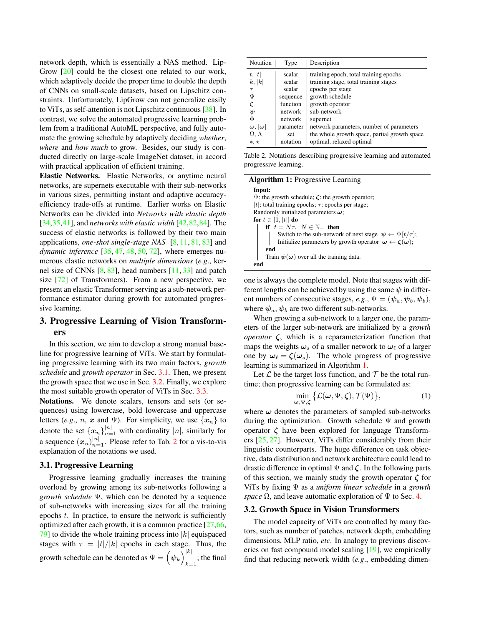network depth, which is essentially a NAS method. Lip-Grow [20] could be the closest one related to our work, which adaptively decide the proper time to double the depth of CNNs on small-scale datasets, based on Lipschitz constraints. Unfortunately, LipGrow can not generalize easily to ViTs, as self-attention is not Lipschitz continuous [38]. In contrast, we solve the automated progressive learning problem from a traditional AutoML perspective, and fully automate the growing schedule by adaptively deciding *whether*, *where* and *how much* to grow. Besides, our study is conducted directly on large-scale ImageNet dataset, in accord with practical application of efficient training.

Elastic Networks. Elastic Networks, or anytime neural networks, are supernets executable with their sub-networks in various sizes, permitting instant and adaptive accuracyefficiency trade-offs at runtime. Earlier works on Elastic Networks can be divided into *Networks with elastic depth* [34,35,41], and *networks with elastic width* [42,82,84]. The success of elastic networks is followed by their two main applications, *one-shot single-stage NAS* [8, 11, 81, 83] and *dynamic inference* [35, 47, 48, 50, 72], where emerges numerous elastic networks on *multiple dimensions* (*e.g*., kernel size of CNNs  $[8, 83]$ , head numbers  $[11, 33]$  and patch size  $[72]$  of Transformers). From a new perspective, we present an elastic Transformer serving as a sub-network performance estimator during growth for automated progressive learning.

## 3. Progressive Learning of Vision Transformers

In this section, we aim to develop a strong manual baseline for progressive learning of ViTs. We start by formulating progressive learning with its two main factors, *growth schedule* and *growth operator* in Sec. 3.1. Then, we present the growth space that we use in Sec. 3.2. Finally, we explore the most suitable growth operator of ViTs in Sec. 3.3.

Notations. We denote scalars, tensors and sets (or sequences) using lowercase, bold lowercase and uppercase letters (*e.g.*, *n*, *x* and Ψ). For simplicity, we use  $\{x_n\}$  to denote the set  $\{x_n\}_{n=1}^{|n|}$  with cardinality  $|n|$ , similarly for a sequence  $(x_n)_{n=1}^{|n|}$ . Please refer to Tab. 2 for a vis-to-vis explanation of the notations we used.

#### 3.1. Progressive Learning

Progressive learning gradually increases the training overload by growing among its sub-networks following a *growth schedule* Ψ, which can be denoted by a sequence of sub-networks with increasing sizes for all the training epochs  $t$ . In practice, to ensure the network is sufficiently optimized after each growth, it is a common practice [27,66, 79] to divide the whole training process into  $|k|$  equispaced stages with  $\tau = |t|/|k|$  epochs in each stage. Thus, the growth schedule can be denoted as  $\Psi = \left(\psi_k\right)^{|k|}$  $_{k=1}$ ; the final

| Notation                                        | Type      | Description                                  |
|-------------------------------------------------|-----------|----------------------------------------------|
| t,  t                                           | scalar    | training epoch, total training epochs        |
| k,  k                                           | scalar    | training stage, total training stages        |
| $\tau$                                          | scalar    | epochs per stage                             |
| Ψ                                               | sequence  | growth schedule                              |
| ζ                                               | function  | growth operator                              |
| ψ                                               | network   | sub-network                                  |
| Φ                                               | network   | supernet                                     |
| $\boldsymbol{\omega}$ , $ \boldsymbol{\omega} $ | parameter | network parameters, number of parameters     |
| $\Omega$ , $\Lambda$                            | set       | the whole growth space, partial growth space |
| $*, *$                                          | notation  | optimal, relaxed optimal                     |

Table 2. Notations describing progressive learning and automated progressive learning.

| <b>Algorithm 1: Progressive Learning</b>                                     |  |  |  |
|------------------------------------------------------------------------------|--|--|--|
| Input:                                                                       |  |  |  |
| $\Psi$ : the growth schedule; $\zeta$ : the growth operator;                 |  |  |  |
| t : total training epochs; $\tau$ : epochs per stage;                        |  |  |  |
| Randomly initialized parameters $\omega$ ;                                   |  |  |  |
| for $t \in [1,  t ]$ do                                                      |  |  |  |
| if $t = N\tau$ , $N \in \mathbb{N}_+$ then                                   |  |  |  |
| Switch to the sub-network of next stage $\psi \leftarrow \Psi[t/\tau]$ ;     |  |  |  |
| Initialize parameters by growth operator $\omega \leftarrow \zeta(\omega)$ ; |  |  |  |
| end                                                                          |  |  |  |
| Train $\psi(\omega)$ over all the training data.                             |  |  |  |
| end                                                                          |  |  |  |

one is always the complete model. Note that stages with different lengths can be achieved by using the same  $\psi$  in different numbers of consecutive stages, *e.g.*,  $\Psi = (\psi_a, \psi_b, \psi_b)$ , where  $\psi_a, \psi_b$  are two different sub-networks.

When growing a sub-network to a larger one, the parameters of the larger sub-network are initialized by a *growth operator* ζ, which is a reparameterization function that maps the weights  $\omega_s$  of a smaller network to  $\omega_\ell$  of a larger one by  $\omega_{\ell} = \zeta(\omega_s)$ . The whole progress of progressive learning is summarized in Algorithm 1.

Let  $\mathcal L$  be the target loss function, and  $\mathcal T$  be the total runtime; then progressive learning can be formulated as:

$$
\min_{\boldsymbol{\omega}, \Psi, \boldsymbol{\zeta}} \left\{ \mathcal{L}(\boldsymbol{\omega}, \Psi, \boldsymbol{\zeta}), \mathcal{T}(\Psi) \right\},\tag{1}
$$

where  $\omega$  denotes the parameters of sampled sub-networks during the optimization. Growth schedule  $\Psi$  and growth operator  $\zeta$  have been explored for language Transformers [25, 27]. However, ViTs differ considerably from their linguistic counterparts. The huge difference on task objective, data distribution and network architecture could lead to drastic difference in optimal  $\Psi$  and  $\zeta$ . In the following parts of this section, we mainly study the growth operator  $\zeta$  for ViTs by fixing Ψ as a *uniform linear schedule* in a *growth space*  $\Omega$ , and leave automatic exploration of  $\Psi$  to Sec. 4.

#### 3.2. Growth Space in Vision Transformers

The model capacity of ViTs are controlled by many factors, such as number of patches, network depth, embedding dimensions, MLP ratio, *etc*. In analogy to previous discoveries on fast compound model scaling [19], we empirically find that reducing network width (*e.g*., embedding dimen-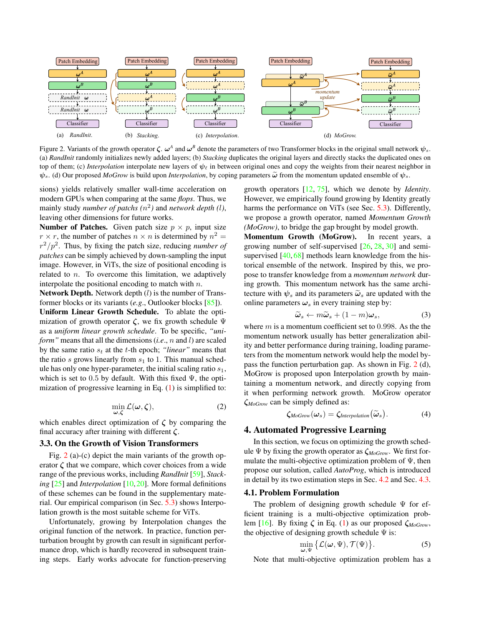

Figure 2. Variants of the growth operator  $\zeta$ .  $\omega^A$  and  $\omega^B$  denote the parameters of two Transformer blocks in the original small network  $\psi_s$ . (a) *RandInit* randomly initializes newly added layers; (b) *Stacking* duplicates the original layers and directly stacks the duplicated ones on top of them; (c) *Interpolation* interpolate new layers of  $\psi_{\ell}$  in between original ones and copy the weights from their nearest neighbor in  $\psi_s$ . (d) Our proposed *MoGrow* is build upon *Interpolation*, by coping parameters  $\tilde{\omega}$  from the momentum updated ensemble of  $\psi_s$ .

sions) yields relatively smaller wall-time acceleration on modern GPUs when comparing at the same *flops*. Thus, we mainly study *number of patchs*  $(n^2)$  and *network depth*  $(l)$ , leaving other dimensions for future works.

**Number of Patches.** Given patch size  $p \times p$ , input size  $r \times r$ , the number of patches  $n \times n$  is determined by  $n^2 =$  $r^2/p^2$ . Thus, by fixing the patch size, reducing *number of patches* can be simply achieved by down-sampling the input image. However, in ViTs, the size of positional encoding is related to  $n$ . To overcome this limitation, we adaptively interpolate the positional encoding to match with  $n$ .

**Network Depth.** Network depth  $(l)$  is the number of Transformer blocks or its variants (*e.g*., Outlooker blocks [85]).

Uniform Linear Growth Schedule. To ablate the optimization of growth operator  $\zeta$ , we fix growth schedule  $\Psi$ as a *uniform linear growth schedule*. To be specific, *"uniform*" means that all the dimensions (*i.e.*, *n* and *l*) are scaled by the same ratio  $s_t$  at the t-th epoch; *"linear"* means that the ratio s grows linearly from  $s_1$  to 1. This manual schedule has only one hyper-parameter, the initial scaling ratio  $s<sub>1</sub>$ , which is set to 0.5 by default. With this fixed  $\Psi$ , the optimization of progressive learning in Eq. (1) is simplified to:

$$
\min_{\omega \in \mathcal{L}} \mathcal{L}(\omega, \zeta),\tag{2}
$$

which enables direct optimization of  $\zeta$  by comparing the final accuracy after training with different  $\zeta$ .

### 3.3. On the Growth of Vision Transformers

Fig. 2 (a)-(c) depict the main variants of the growth operator  $\zeta$  that we compare, which cover choices from a wide range of the previous works, including *RandInit* [59], *Stacking* [25] and *Interpolation* [10,20]. More formal definitions of these schemes can be found in the supplementary material. Our empirical comparison (in Sec. 5.3) shows Interpolation growth is the most suitable scheme for ViTs.

Unfortunately, growing by Interpolation changes the original function of the network. In practice, function perturbation brought by growth can result in significant performance drop, which is hardly recovered in subsequent training steps. Early works advocate for function-preserving growth operators [12, 75], which we denote by *Identity*. However, we empirically found growing by Identity greatly harms the performance on ViTs (see Sec. 5.3). Differently, we propose a growth operator, named *Momentum Growth (MoGrow)*, to bridge the gap brought by model growth.

Momentum Growth (MoGrow). In recent years, a growing number of self-supervised [26, 28, 30] and semisupervised  $[40, 68]$  methods learn knowledge from the historical ensemble of the network. Inspired by this, we propose to transfer knowledge from a *momentum network* during growth. This momentum network has the same architecture with  $\psi_s$  and its parameters  $\tilde{\omega}_s$  are updated with the online parameters  $\omega_s$  in every training step by:

$$
\widetilde{\boldsymbol{\omega}}_s \leftarrow m\widetilde{\boldsymbol{\omega}}_s + (1-m)\boldsymbol{\omega}_s,\tag{3}
$$

where  $m$  is a momentum coefficient set to 0.998. As the the momentum network usually has better generalization ability and better performance during training, loading parameters from the momentum network would help the model bypass the function perturbation gap. As shown in Fig. 2 (d), MoGrow is proposed upon Interpolation growth by maintaining a momentum network, and directly copying from it when performing network growth. MoGrow operator ζ*MoGrow* can be simply defined as:

$$
\zeta_{MoGrow}(\omega_s) = \zeta_{Interpolation}(\widetilde{\omega}_s). \tag{4}
$$

#### 4. Automated Progressive Learning

In this section, we focus on optimizing the growth schedule Ψ by fixing the growth operator as ζ*MoGrow*. We first formulate the multi-objective optimization problem of  $\Psi$ , then propose our solution, called *AutoProg*, which is introduced in detail by its two estimation steps in Sec. 4.2 and Sec. 4.3.

#### 4.1. Problem Formulation

The problem of designing growth schedule  $\Psi$  for efficient training is a multi-objective optimization problem [16]. By fixing  $\zeta$  in Eq. (1) as our proposed  $\zeta_{MoGrow}$ , the objective of designing growth schedule  $\Psi$  is:

$$
\min_{\mathbf{y}} \{ \mathcal{L}(\boldsymbol{\omega}, \boldsymbol{\Psi}), \mathcal{T}(\boldsymbol{\Psi}) \}.
$$
 (5)

Note that multi-objective optimization problem has a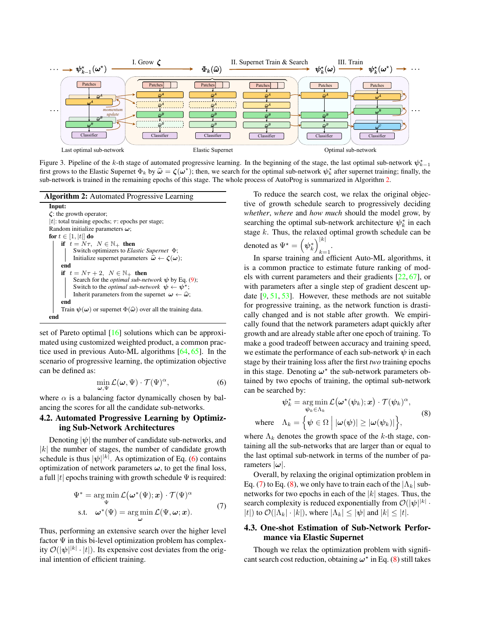

Figure 3. Pipeline of the k-th stage of automated progressive learning. In the beginning of the stage, the last optimal sub-network  $\psi_{k-1}^*$ first grows to the Elastic Supernet  $\Phi_k$  by  $\hat{\omega} = \zeta(\omega^*)$ ; then, we search for the optimal sub-network  $\psi_k^*$  after supernet training; finally, the sub-network is trained in the remaining epochs of this stage. The whole process of AutoProg is summarized in Algorithm 2.

 $\overline{v}$ 



set of Pareto optimal [16] solutions which can be approximated using customized weighted product, a common practice used in previous Auto-ML algorithms [64, 65]. In the scenario of progressive learning, the optimization objective can be defined as:

$$
\min_{\mathbf{u} \in \mathbb{R}^n} \mathcal{L}(\boldsymbol{\omega}, \boldsymbol{\Psi}) \cdot \mathcal{T}(\boldsymbol{\Psi})^{\alpha},\tag{6}
$$

where  $\alpha$  is a balancing factor dynamically chosen by balancing the scores for all the candidate sub-networks.

### 4.2. Automated Progressive Learning by Optimizing Sub-Network Architectures

Denoting  $|\psi|$  the number of candidate sub-networks, and  $|k|$  the number of stages, the number of candidate growth schedule is thus  $|\psi|^{|k|}$ . As optimization of Eq. (6) contains optimization of network parameters  $\omega$ , to get the final loss, a full  $|t|$  epochs training with growth schedule  $\Psi$  is required:

$$
\Psi^* = \underset{\Psi}{\arg\min} \mathcal{L}(\omega^*(\Psi); \mathbf{x}) \cdot \mathcal{T}(\Psi)^{\alpha}
$$
  
s.t. 
$$
\omega^*(\Psi) = \underset{\mathbf{u}}{\arg\min} \mathcal{L}(\Psi, \omega; \mathbf{x}).
$$
 (7)

Thus, performing an extensive search over the higher level factor  $\Psi$  in this bi-level optimization problem has complexity  $\mathcal{O}(|\psi|^{|k|} \cdot |t|)$ . Its expensive cost deviates from the original intention of efficient training.

To reduce the search cost, we relax the original objective of growth schedule search to progressively deciding *whether*, *where* and *how much* should the model grow, by searching the optimal sub-network architecture  $\psi_k^*$  in each stage  $k$ . Thus, the relaxed optimal growth schedule can be denoted as  $\Psi^* = \left(\psi_k^*\right)_{k=1}^{|k|}$  $k=1$ 

In sparse training and efficient Auto-ML algorithms, it is a common practice to estimate future ranking of models with current parameters and their gradients [22, 67], or with parameters after a single step of gradient descent update  $[9, 51, 53]$ . However, these methods are not suitable for progressive training, as the network function is drastically changed and is not stable after growth. We empirically found that the network parameters adapt quickly after growth and are already stable after one epoch of training. To make a good tradeoff between accuracy and training speed, we estimate the performance of each sub-network  $\psi$  in each stage by their training loss after the first *two* training epochs in this stage. Denoting  $\omega^*$  the sub-network parameters obtained by two epochs of training, the optimal sub-network can be searched by:

$$
\psi_k^* = \underset{\psi_k \in \Lambda_k}{\arg \min} \mathcal{L}(\omega^*(\psi_k); \mathbf{x}) \cdot \mathcal{T}(\psi_k)^{\alpha},
$$
  
where 
$$
\Lambda_k = \left\{ \psi \in \Omega \, \Big| \, |\omega(\psi)| \ge |\omega(\psi_k)| \right\},
$$
 (8)

where  $\Lambda_k$  denotes the growth space of the k-th stage, containing all the sub-networks that are larger than or equal to the last optimal sub-network in terms of the number of parameters  $|\omega|$ .

Overall, by relaxing the original optimization problem in Eq. (7) to Eq. (8), we only have to train each of the  $|\Lambda_k|$  subnetworks for two epochs in each of the  $|k|$  stages. Thus, the search complexity is reduced exponentially from  $\mathcal{O}(|\psi|^{|k|} \cdot$ |t|) to  $\mathcal{O}(|\Lambda_k| \cdot |k|)$ , where  $|\Lambda_k| \leq |\psi|$  and  $|k| \leq |t|$ .

### 4.3. One-shot Estimation of Sub-Network Performance via Elastic Supernet

Though we relax the optimization problem with significant search cost reduction, obtaining  $\omega^*$  in Eq. (8) still takes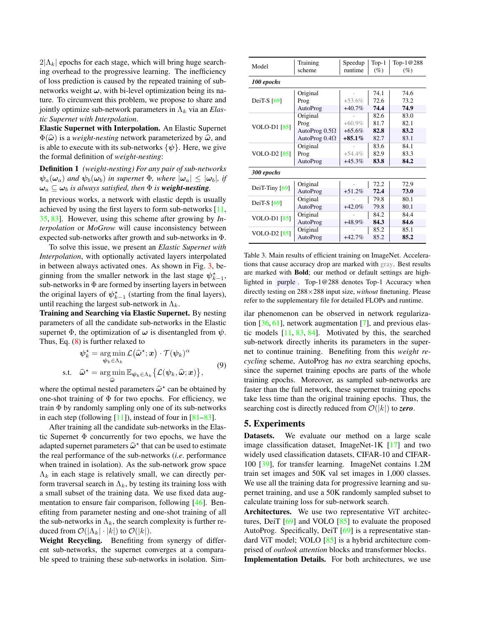$2|\Lambda_k|$  epochs for each stage, which will bring huge searching overhead to the progressive learning. The inefficiency of loss prediction is caused by the repeated training of subnetworks weight  $\omega$ , with bi-level optimization being its nature. To circumvent this problem, we propose to share and jointly optimize sub-network parameters in  $\Lambda_k$  via an *Elastic Supernet with Interpolation*.

Elastic Supernet with Interpolation. An Elastic Supernet  $\Phi(\hat{\omega})$  is a *weight-nesting* network parameterized by  $\hat{\omega}$ , and is able to execute with its sub-networks  $\{\psi\}$ . Here, we give the formal definition of *weight-nesting*:

Definition 1 *(weight-nesting) For any pair of sub-networks*  $\psi_a(\omega_a)$  *and*  $\psi_b(\omega_b)$  *in supernet*  $\Phi$ *, where*  $|\omega_a| \leq |\omega_b|$ *, if*  $\omega_a \subseteq \omega_b$  *is always satisfied, then*  $\Phi$  *is weight-nesting.* 

In previous works, a network with elastic depth is usually achieved by using the first layers to form sub-networks [11, 35, 83]. However, using this scheme after growing by *Interpolation* or *MoGrow* will cause inconsistency between expected sub-networks after growth and sub-networks in Φ.

To solve this issue, we present an *Elastic Supernet with Interpolation*, with optionally activated layers interpolated in between always activated ones. As shown in Fig. 3, beginning from the smaller network in the last stage  $\psi_{k-1}^*$ , sub-networks in  $\Phi$  are formed by inserting layers in between the original layers of  $\psi_{k-1}^*$  (starting from the final layers), until reaching the largest sub-network in  $\Lambda_k$ .

Training and Searching via Elastic Supernet. By nesting parameters of all the candidate sub-networks in the Elastic supernet  $\Phi$ , the optimization of  $\omega$  is disentangled from  $\psi$ . Thus, Eq. (8) is further relaxed to

$$
\psi_k^* = \argmin_{\psi_k \in \Lambda_k} \mathcal{L}(\hat{\omega}^*; x) \cdot \mathcal{T}(\psi_k)^{\alpha}
$$
  
s.t. 
$$
\hat{\omega}^* = \argmin_{\hat{\omega}} \mathbb{E}_{\psi_k \in \Lambda_k} \{ \mathcal{L}(\psi_k, \hat{\omega}; x) \},
$$
 (9)

where the optimal nested parameters  $\hat{\omega}^*$  can be obtained by<br>one shot training of  $\Phi$  for two enoche. For efficiency, we one-shot training of  $\Phi$  for two epochs. For efficiency, we train  $\Phi$  by randomly sampling only one of its sub-networks in each step (following  $[11]$ ), instead of four in  $[81–83]$ .

After training all the candidate sub-networks in the Elastic Supernet  $\Phi$  concurrently for two epochs, we have the adapted supernet parameters  $\hat{\omega}^*$  that can be used to estimate<br>the real performance of the sub-networks *(i.e.* performance the real performance of the sub-networks (*i.e*. performance when trained in isolation). As the sub-network grow space  $\Lambda_k$  in each stage is relatively small, we can directly perform traversal search in  $\Lambda_k$ , by testing its training loss with a small subset of the training data. We use fixed data augmentation to ensure fair comparison, following [46]. Benefiting from parameter nesting and one-shot training of all the sub-networks in  $\Lambda_k$ , the search complexity is further reduced from  $\mathcal{O}(|\Lambda_k| \cdot |k|)$  to  $\mathcal{O}(|k|)$ .

Weight Recycling. Benefiting from synergy of different sub-networks, the supernet converges at a comparable speed to training these sub-networks in isolation. Sim-

| Model               | Training<br>scheme   | Speedup<br>runtime | $Top-1$<br>(%) | Top-1@288<br>$(\%)$ |  |  |
|---------------------|----------------------|--------------------|----------------|---------------------|--|--|
| 100 epochs          |                      |                    |                |                     |  |  |
|                     | Original             |                    | 74.1           | 74.6                |  |  |
| DeiT-S $[69]$       | Prog                 | $+53.6%$           | 72.6           | 73.2                |  |  |
|                     | AutoProg             | $+40.7%$           | 74.4           | 74.9                |  |  |
|                     | Original             |                    | 82.6           | 83.0                |  |  |
| <b>VOLO-D1</b> [85] | Prog                 | $+60.9\%$          | 81.7           | 82.1                |  |  |
|                     | AutoProg $0.5\Omega$ | $+65.6%$           | 82.8           | 83.2                |  |  |
|                     | AutoProg $0.4\Omega$ | $+85.1\%$          | 82.7           | 83.1                |  |  |
|                     | Original             |                    | 83.6           | 84.1                |  |  |
| <b>VOLO-D2</b> [85] | Prog                 | $+54.4\%$          | 82.9           | 83.3                |  |  |
|                     | AutoProg             | $+45.3%$           | 83.8           | 84.2                |  |  |
| 300 epochs          |                      |                    |                |                     |  |  |
|                     | Original             |                    | 72.2           | 72.9                |  |  |
| DeiT-Tiny $[69]$    | AutoProg             | $+51.2%$           | 72.4           | 73.0                |  |  |
| DeiT-S $[69]$       | Original             |                    | 79.8           | 80.1                |  |  |
|                     | AutoProg             | $+42.0%$           | 79.8           | 80.1                |  |  |
| VOLO-D1 [85]        | Original             |                    | 84.2           | 84.4                |  |  |
|                     | AutoProg             | +48.9%             | 84.3           | 84.6                |  |  |
|                     | Original             |                    | 85.2           | 85.1                |  |  |
| VOLO-D2 [85]        | AutoProg             | $+42.7%$           | 85.2           | 85.2                |  |  |

Table 3. Main results of efficient training on ImageNet. Accelerations that cause accuracy drop are marked with gray. Best results are marked with Bold; our method or default settings are highlighted in purple . Top-1@288 denotes Top-1 Accuracy when directly testing on 288×288 input size, *without* finetuning. Please refer to the supplementary file for detailed FLOPs and runtime.

ilar phenomenon can be observed in network regularization [36, 61], network augmentation [7], and previous elastic models [11, 83, 84]. Motivated by this, the searched sub-network directly inherits its parameters in the supernet to continue training. Benefiting from this *weight recycling* scheme, AutoProg has *no* extra searching epochs, since the supernet training epochs are parts of the whole training epochs. Moreover, as sampled sub-networks are faster than the full network, these supernet training epochs take less time than the original training epochs. Thus, the searching cost is directly reduced from  $\mathcal{O}(|k|)$  to **zero**.

### 5. Experiments

Datasets. We evaluate our method on a large scale image classification dataset, ImageNet-1K  $[17]$  and two widely used classification datasets, CIFAR-10 and CIFAR-100 [39], for transfer learning. ImageNet contains 1.2M train set images and 50K val set images in 1,000 classes. We use all the training data for progressive learning and supernet training, and use a 50K randomly sampled subset to calculate training loss for sub-network search.

Architectures. We use two representative ViT architectures, DeiT  $[69]$  and VOLO  $[85]$  to evaluate the proposed AutoProg. Specifically, DeiT [69] is a representative standard ViT model; VOLO [85] is a hybrid architecture comprised of *outlook attention* blocks and transformer blocks.

Implementation Details. For both architectures, we use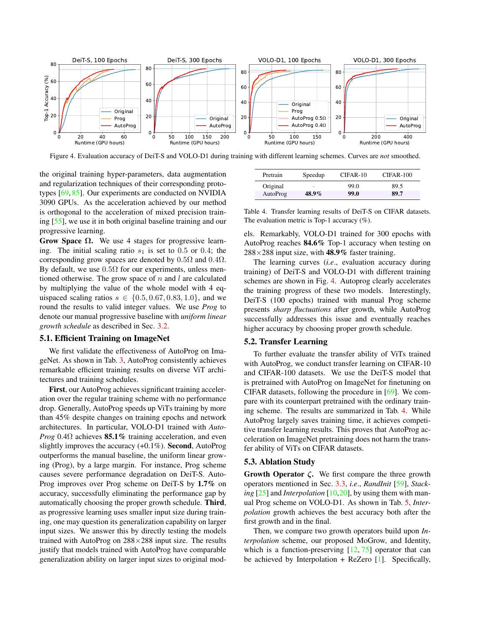

Figure 4. Evaluation accuracy of DeiT-S and VOLO-D1 during training with different learning schemes. Curves are *not* smoothed.

the original training hyper-parameters, data augmentation and regularization techniques of their corresponding prototypes [69, 85]. Our experiments are conducted on NVIDIA 3090 GPUs. As the acceleration achieved by our method is orthogonal to the acceleration of mixed precision training [55], we use it in both original baseline training and our progressive learning.

Grow Space  $Ω$ . We use 4 stages for progressive learning. The initial scaling ratio  $s_1$  is set to 0.5 or 0.4; the corresponding grow spaces are denoted by  $0.5\Omega$  and  $0.4\Omega$ . By default, we use  $0.5\Omega$  for our experiments, unless mentioned otherwise. The grow space of  $n$  and  $l$  are calculated by multiplying the value of the whole model with 4 equispaced scaling ratios  $s \in \{0.5, 0.67, 0.83, 1.0\}$ , and we round the results to valid integer values. We use *Prog* to denote our manual progressive baseline with *uniform linear growth schedule* as described in Sec. 3.2.

### 5.1. Efficient Training on ImageNet

We first validate the effectiveness of AutoProg on ImageNet. As shown in Tab. 3, AutoProg consistently achieves remarkable efficient training results on diverse ViT architectures and training schedules.

First, our AutoProg achieves significant training acceleration over the regular training scheme with no performance drop. Generally, AutoProg speeds up ViTs training by more than 45% despite changes on training epochs and network architectures. In particular, VOLO-D1 trained with *Auto-Prog* 0.4Ω achieves 85.1% training acceleration, and even slightly improves the accuracy  $(+0.1\%)$ . **Second**, AutoProg outperforms the manual baseline, the uniform linear growing (Prog), by a large margin. For instance, Prog scheme causes severe performance degradation on DeiT-S. Auto-Prog improves over Prog scheme on DeiT-S by 1.7% on accuracy, successfully eliminating the performance gap by automatically choosing the proper growth schedule. Third, as progressive learning uses smaller input size during training, one may question its generalization capability on larger input sizes. We answer this by directly testing the models trained with AutoProg on  $288\times288$  input size. The results justify that models trained with AutoProg have comparable generalization ability on larger input sizes to original mod-

| Pretrain | Speedup                  | CIFAR-10 | CIFAR-100 |
|----------|--------------------------|----------|-----------|
| Original | $\overline{\phantom{a}}$ | 99.0     | 89.5      |
| AutoProg | 48.9%                    | 99.0     | 89.7      |

Table 4. Transfer learning results of DeiT-S on CIFAR datasets. The evaluation metric is Top-1 accuracy (%).

els. Remarkably, VOLO-D1 trained for 300 epochs with AutoProg reaches 84.6% Top-1 accuracy when testing on  $288\times288$  input size, with 48.9% faster training.

The learning curves (*i.e*., evaluation accuracy during training) of DeiT-S and VOLO-D1 with different training schemes are shown in Fig. 4. Autoprog clearly accelerates the training progress of these two models. Interestingly, DeiT-S (100 epochs) trained with manual Prog scheme presents *sharp fluctuations* after growth, while AutoProg successfully addresses this issue and eventually reaches higher accuracy by choosing proper growth schedule.

#### 5.2. Transfer Learning

To further evaluate the transfer ability of ViTs trained with AutoProg, we conduct transfer learning on CIFAR-10 and CIFAR-100 datasets. We use the DeiT-S model that is pretrained with AutoProg on ImageNet for finetuning on CIFAR datasets, following the procedure in [69]. We compare with its counterpart pretrained with the ordinary training scheme. The results are summarized in Tab. 4. While AutoProg largely saves training time, it achieves competitive transfer learning results. This proves that AutoProg acceleration on ImageNet pretraining does not harm the transfer ability of ViTs on CIFAR datasets.

#### 5.3. Ablation Study

Growth Operator  $\zeta$ . We first compare the three growth operators mentioned in Sec. 3.3, *i.e*., *RandInit* [59], *Stacking* [25] and *Interpolation* [10,20], by using them with manual Prog scheme on VOLO-D1. As shown in Tab. 5, *Interpolation* growth achieves the best accuracy both after the first growth and in the final.

Then, we compare two growth operators build upon *Interpolation* scheme, our proposed MoGrow, and Identity, which is a function-preserving  $[12, 75]$  operator that can be achieved by Interpolation  $+$  ReZero [1]. Specifically,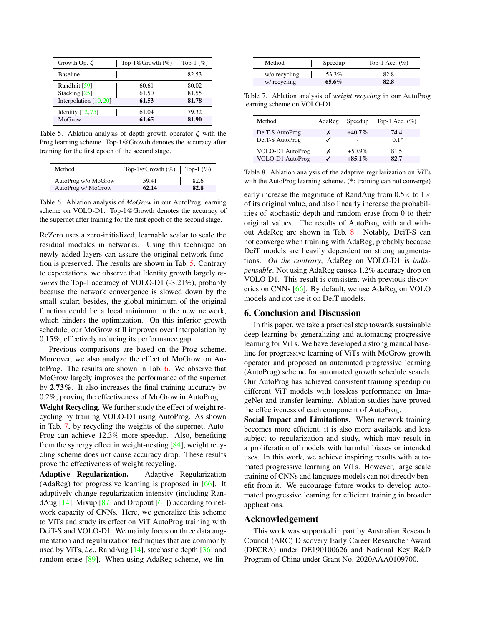| Growth Op. $\zeta$       | Top-1@Growth $(\%)$ | Top-1 $(\%)$ |
|--------------------------|---------------------|--------------|
| <b>Baseline</b>          |                     | 82.53        |
| RandInit [59]            | 60.61               | 80.02        |
| Stacking [25]            | 61.50               | 81.55        |
| Interpolation $[10, 20]$ | 61.53               | 81.78        |
| Identity $[12, 75]$      | 61.04               | 79.32        |
| MoGrow                   | 61.65               | 81.90        |

Table 5. Ablation analysis of depth growth operator  $\zeta$  with the Prog learning scheme. Top-1@Growth denotes the accuracy after training for the first epoch of the second stage.

| Method              | Top-1@Growth $(\%)$ | Top-1 $(\%)$ |
|---------------------|---------------------|--------------|
| AutoProg w/o MoGrow | 59.41               | 82.6         |
| AutoProg w/ MoGrow  | 62.14               | 82.8         |

Table 6. Ablation analysis of *MoGrow* in our AutoProg learning scheme on VOLO-D1. Top-1@Growth denotes the accuracy of the supernet after training for the first epoch of the second stage.

ReZero uses a zero-initialized, learnable scalar to scale the residual modules in networks. Using this technique on newly added layers can assure the original network function is preserved. The results are shown in Tab. 5. Contrary to expectations, we observe that Identity growth largely *reduces* the Top-1 accuracy of VOLO-D1 (-3.21%), probably because the network convergence is slowed down by the small scalar; besides, the global minimum of the original function could be a local minimum in the new network, which hinders the optimization. On this inferior growth schedule, our MoGrow still improves over Interpolation by 0.15%, effectively reducing its performance gap.

Previous comparisons are based on the Prog scheme. Moreover, we also analyze the effect of MoGrow on AutoProg. The results are shown in Tab. 6. We observe that MoGrow largely improves the performance of the supernet by 2.73%. It also increases the final training accuracy by 0.2%, proving the effectiveness of MoGrow in AutoProg.

Weight Recycling. We further study the effect of weight recycling by training VOLO-D1 using AutoProg. As shown in Tab. 7, by recycling the weights of the supernet, Auto-Prog can achieve 12.3% more speedup. Also, benefiting from the synergy effect in weight-nesting [84], weight recycling scheme does not cause accuracy drop. These results prove the effectiveness of weight recycling.

Adaptive Regularization. Adaptive Regularization (AdaReg) for progressive learning is proposed in [66]. It adaptively change regularization intensity (including RandAug  $[14]$ , Mixup  $[87]$  and Dropout  $[61]$ ) according to network capacity of CNNs. Here, we generalize this scheme to ViTs and study its effect on ViT AutoProg training with DeiT-S and VOLO-D1. We mainly focus on three data augmentation and regularization techniques that are commonly used by ViTs, *i.e*., RandAug [14], stochastic depth [36] and random erase [89]. When using AdaReg scheme, we lin-

| Method        | Speedup | Top-1 Acc. $(\%)$ |
|---------------|---------|-------------------|
| w/o recycling | 53.3%   | 82.8              |
| w/ recycling  | 65.6%   | 82.8              |

Table 7. Ablation analysis of *weight recycling* in our AutoProg learning scheme on VOLO-D1.

| Method                               |   |                       | AdaReg   Speedup   Top-1 Acc. $(\%)$ |
|--------------------------------------|---|-----------------------|--------------------------------------|
| DeiT-S AutoProg<br>DeiT-S AutoProg   |   | $+40.7\%$             | 74.4<br>$0.1*$                       |
| VOLO-D1 AutoProg<br>VOLO-D1 AutoProg | х | $+50.9%$<br>$+85.1\%$ | 81.5<br>82.7                         |

Table 8. Ablation analysis of the adaptive regularization on ViTs with the AutoProg learning scheme. (\*: training can not converge)

early increase the magnitude of RandAug from  $0.5 \times$  to  $1 \times$ of its original value, and also linearly increase the probabilities of stochastic depth and random erase from 0 to their original values. The results of AutoProg with and without AdaReg are shown in Tab. 8. Notably, DeiT-S can not converge when training with AdaReg, probably because DeiT models are heavily dependent on strong augmentations. *On the contrary*, AdaReg on VOLO-D1 is *indispensable*. Not using AdaReg causes 1.2% accuracy drop on VOLO-D1. This result is consistent with previous discoveries on CNNs [66]. By default, we use AdaReg on VOLO models and not use it on DeiT models.

### 6. Conclusion and Discussion

In this paper, we take a practical step towards sustainable deep learning by generalizing and automating progressive learning for ViTs. We have developed a strong manual baseline for progressive learning of ViTs with MoGrow growth operator and proposed an automated progressive learning (AutoProg) scheme for automated growth schedule search. Our AutoProg has achieved consistent training speedup on different ViT models with lossless performance on ImageNet and transfer learning. Ablation studies have proved the effectiveness of each component of AutoProg.

Social Impact and Limitations. When network training becomes more efficient, it is also more available and less subject to regularization and study, which may result in a proliferation of models with harmful biases or intended uses. In this work, we achieve inspiring results with automated progressive learning on ViTs. However, large scale training of CNNs and language models can not directly benefit from it. We encourage future works to develop automated progressive learning for efficient training in broader applications.

#### Acknowledgement

This work was supported in part by Australian Research Council (ARC) Discovery Early Career Researcher Award (DECRA) under DE190100626 and National Key R&D Program of China under Grant No. 2020AAA0109700.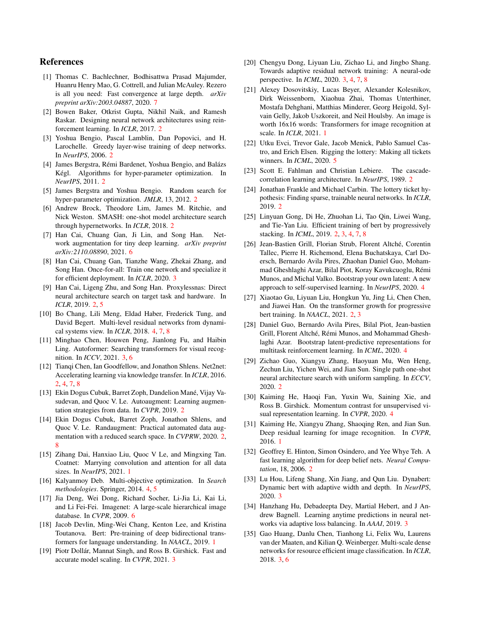### References

- [1] Thomas C. Bachlechner, Bodhisattwa Prasad Majumder, Huanru Henry Mao, G. Cottrell, and Julian McAuley. Rezero is all you need: Fast convergence at large depth. *arXiv preprint arXiv:2003.04887*, 2020. 7
- [2] Bowen Baker, Otkrist Gupta, Nikhil Naik, and Ramesh Raskar. Designing neural network architectures using reinforcement learning. In *ICLR*, 2017. 2
- [3] Yoshua Bengio, Pascal Lamblin, Dan Popovici, and H. Larochelle. Greedy layer-wise training of deep networks. In *NeurIPS*, 2006. 2
- [4] James Bergstra, Rémi Bardenet, Yoshua Bengio, and Balázs Kégl. Algorithms for hyper-parameter optimization. In *NeurIPS*, 2011. 2
- [5] James Bergstra and Yoshua Bengio. Random search for hyper-parameter optimization. *JMLR*, 13, 2012. 2
- [6] Andrew Brock, Theodore Lim, James M. Ritchie, and Nick Weston. SMASH: one-shot model architecture search through hypernetworks. In *ICLR*, 2018. 2
- [7] Han Cai, Chuang Gan, Ji Lin, and Song Han. Network augmentation for tiny deep learning. *arXiv preprint arXiv:2110.08890*, 2021. 6
- [8] Han Cai, Chuang Gan, Tianzhe Wang, Zhekai Zhang, and Song Han. Once-for-all: Train one network and specialize it for efficient deployment. In *ICLR*, 2020. 3
- [9] Han Cai, Ligeng Zhu, and Song Han. Proxylessnas: Direct neural architecture search on target task and hardware. In *ICLR*, 2019. 2, 5
- [10] Bo Chang, Lili Meng, Eldad Haber, Frederick Tung, and David Begert. Multi-level residual networks from dynamical systems view. In *ICLR*, 2018. 4, 7, 8
- [11] Minghao Chen, Houwen Peng, Jianlong Fu, and Haibin Ling. Autoformer: Searching transformers for visual recognition. In *ICCV*, 2021. 3, 6
- [12] Tianqi Chen, Ian Goodfellow, and Jonathon Shlens. Net2net: Accelerating learning via knowledge transfer. In *ICLR*, 2016. 2, 4, 7, 8
- [13] Ekin Dogus Cubuk, Barret Zoph, Dandelion Mané, Vijay Vasudevan, and Quoc V. Le. Autoaugment: Learning augmentation strategies from data. In *CVPR*, 2019. 2
- [14] Ekin Dogus Cubuk, Barret Zoph, Jonathon Shlens, and Quoc V. Le. Randaugment: Practical automated data augmentation with a reduced search space. In *CVPRW*, 2020. 2, 8
- [15] Zihang Dai, Hanxiao Liu, Quoc V Le, and Mingxing Tan. Coatnet: Marrying convolution and attention for all data sizes. In *NeurIPS*, 2021. 1
- [16] Kalyanmoy Deb. Multi-objective optimization. In *Search methodologies*. Springer, 2014. 4, 5
- [17] Jia Deng, Wei Dong, Richard Socher, Li-Jia Li, Kai Li, and Li Fei-Fei. Imagenet: A large-scale hierarchical image database. In *CVPR*, 2009. 6
- [18] Jacob Devlin, Ming-Wei Chang, Kenton Lee, and Kristina Toutanova. Bert: Pre-training of deep bidirectional transformers for language understanding. In *NAACL*, 2019. 1
- [19] Piotr Dollár, Mannat Singh, and Ross B. Girshick. Fast and accurate model scaling. In *CVPR*, 2021. 3
- [20] Chengyu Dong, Liyuan Liu, Zichao Li, and Jingbo Shang. Towards adaptive residual network training: A neural-ode perspective. In *ICML*, 2020. 3, 4, 7, 8
- [21] Alexey Dosovitskiy, Lucas Beyer, Alexander Kolesnikov, Dirk Weissenborn, Xiaohua Zhai, Thomas Unterthiner, Mostafa Dehghani, Matthias Minderer, Georg Heigold, Sylvain Gelly, Jakob Uszkoreit, and Neil Houlsby. An image is worth 16x16 words: Transformers for image recognition at scale. In *ICLR*, 2021. 1
- [22] Utku Evci, Trevor Gale, Jacob Menick, Pablo Samuel Castro, and Erich Elsen. Rigging the lottery: Making all tickets winners. In *ICML*, 2020. 5
- [23] Scott E. Fahlman and Christian Lebiere. The cascadecorrelation learning architecture. In *NeurIPS*, 1989. 2
- [24] Jonathan Frankle and Michael Carbin. The lottery ticket hypothesis: Finding sparse, trainable neural networks. In *ICLR*, 2019. 2
- [25] Linyuan Gong, Di He, Zhuohan Li, Tao Qin, Liwei Wang, and Tie-Yan Liu. Efficient training of bert by progressively stacking. In *ICML*, 2019. 2, 3, 4, 7, 8
- [26] Jean-Bastien Grill, Florian Strub, Florent Altché, Corentin Tallec, Pierre H. Richemond, Elena Buchatskaya, Carl Doersch, Bernardo Avila Pires, Zhaohan Daniel Guo, Mohammad Gheshlaghi Azar, Bilal Piot, Koray Kavukcuoglu, Remi ´ Munos, and Michal Valko. Bootstrap your own latent: A new approach to self-supervised learning. In *NeurIPS*, 2020. 4
- [27] Xiaotao Gu, Liyuan Liu, Hongkun Yu, Jing Li, Chen Chen, and Jiawei Han. On the transformer growth for progressive bert training. In *NAACL*, 2021. 2, 3
- [28] Daniel Guo, Bernardo Avila Pires, Bilal Piot, Jean-bastien Grill, Florent Altché, Rémi Munos, and Mohammad Gheshlaghi Azar. Bootstrap latent-predictive representations for multitask reinforcement learning. In *ICML*, 2020. 4
- [29] Zichao Guo, Xiangyu Zhang, Haoyuan Mu, Wen Heng, Zechun Liu, Yichen Wei, and Jian Sun. Single path one-shot neural architecture search with uniform sampling. In *ECCV*, 2020. 2
- [30] Kaiming He, Haoqi Fan, Yuxin Wu, Saining Xie, and Ross B. Girshick. Momentum contrast for unsupervised visual representation learning. In *CVPR*, 2020. 4
- [31] Kaiming He, Xiangyu Zhang, Shaoqing Ren, and Jian Sun. Deep residual learning for image recognition. In *CVPR*, 2016. 1
- [32] Geoffrey E. Hinton, Simon Osindero, and Yee Whye Teh. A fast learning algorithm for deep belief nets. *Neural Computation*, 18, 2006. 2
- [33] Lu Hou, Lifeng Shang, Xin Jiang, and Qun Liu. Dynabert: Dynamic bert with adaptive width and depth. In *NeurIPS*, 2020. 3
- [34] Hanzhang Hu, Debadeepta Dey, Martial Hebert, and J Andrew Bagnell. Learning anytime predictions in neural networks via adaptive loss balancing. In *AAAI*, 2019. 3
- [35] Gao Huang, Danlu Chen, Tianhong Li, Felix Wu, Laurens van der Maaten, and Kilian Q. Weinberger. Multi-scale dense networks for resource efficient image classification. In *ICLR*, 2018. 3, 6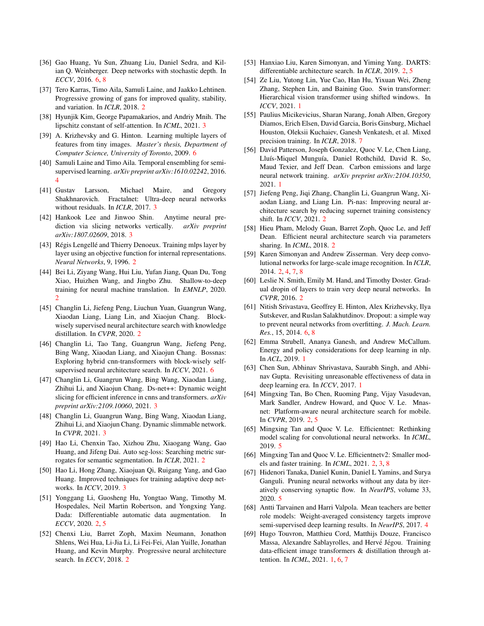- [36] Gao Huang, Yu Sun, Zhuang Liu, Daniel Sedra, and Kilian Q. Weinberger. Deep networks with stochastic depth. In *ECCV*, 2016. 6, 8
- [37] Tero Karras, Timo Aila, Samuli Laine, and Jaakko Lehtinen. Progressive growing of gans for improved quality, stability, and variation. In *ICLR*, 2018. 2
- [38] Hyunjik Kim, George Papamakarios, and Andriy Mnih. The lipschitz constant of self-attention. In *ICML*, 2021. 3
- [39] A. Krizhevsky and G. Hinton. Learning multiple layers of features from tiny images. *Master's thesis, Department of Computer Science, University of Toronto*, 2009. 6
- [40] Samuli Laine and Timo Aila. Temporal ensembling for semisupervised learning. *arXiv preprint arXiv:1610.02242*, 2016. 4
- [41] Gustav Larsson, Michael Maire, and Gregory Shakhnarovich. Fractalnet: Ultra-deep neural networks without residuals. In *ICLR*, 2017. 3
- [42] Hankook Lee and Jinwoo Shin. Anytime neural prediction via slicing networks vertically. *arXiv preprint arXiv:1807.02609*, 2018. 3
- [43] Régis Lengellé and Thierry Denoeux. Training mlps layer by layer using an objective function for internal representations. *Neural Networks*, 9, 1996. 2
- [44] Bei Li, Ziyang Wang, Hui Liu, Yufan Jiang, Quan Du, Tong Xiao, Huizhen Wang, and Jingbo Zhu. Shallow-to-deep training for neural machine translation. In *EMNLP*, 2020. 2
- [45] Changlin Li, Jiefeng Peng, Liuchun Yuan, Guangrun Wang, Xiaodan Liang, Liang Lin, and Xiaojun Chang. Blockwisely supervised neural architecture search with knowledge distillation. In *CVPR*, 2020. 2
- [46] Changlin Li, Tao Tang, Guangrun Wang, Jiefeng Peng, Bing Wang, Xiaodan Liang, and Xiaojun Chang. Bossnas: Exploring hybrid cnn-transformers with block-wisely selfsupervised neural architecture search. In *ICCV*, 2021. 6
- [47] Changlin Li, Guangrun Wang, Bing Wang, Xiaodan Liang, Zhihui Li, and Xiaojun Chang. Ds-net++: Dynamic weight slicing for efficient inference in cnns and transformers. *arXiv preprint arXiv:2109.10060*, 2021. 3
- [48] Changlin Li, Guangrun Wang, Bing Wang, Xiaodan Liang, Zhihui Li, and Xiaojun Chang. Dynamic slimmable network. In *CVPR*, 2021. 3
- [49] Hao Li, Chenxin Tao, Xizhou Zhu, Xiaogang Wang, Gao Huang, and Jifeng Dai. Auto seg-loss: Searching metric surrogates for semantic segmentation. In *ICLR*, 2021. 2
- [50] Hao Li, Hong Zhang, Xiaojuan Qi, Ruigang Yang, and Gao Huang. Improved techniques for training adaptive deep networks. In *ICCV*, 2019. 3
- [51] Yonggang Li, Guosheng Hu, Yongtao Wang, Timothy M. Hospedales, Neil Martin Robertson, and Yongxing Yang. Dada: Differentiable automatic data augmentation. In *ECCV*, 2020. 2, 5
- [52] Chenxi Liu, Barret Zoph, Maxim Neumann, Jonathon Shlens, Wei Hua, Li-Jia Li, Li Fei-Fei, Alan Yuille, Jonathan Huang, and Kevin Murphy. Progressive neural architecture search. In *ECCV*, 2018. 2
- [53] Hanxiao Liu, Karen Simonyan, and Yiming Yang. DARTS: differentiable architecture search. In *ICLR*, 2019. 2, 5
- [54] Ze Liu, Yutong Lin, Yue Cao, Han Hu, Yixuan Wei, Zheng Zhang, Stephen Lin, and Baining Guo. Swin transformer: Hierarchical vision transformer using shifted windows. In *ICCV*, 2021. 1
- [55] Paulius Micikevicius, Sharan Narang, Jonah Alben, Gregory Diamos, Erich Elsen, David Garcia, Boris Ginsburg, Michael Houston, Oleksii Kuchaiev, Ganesh Venkatesh, et al. Mixed precision training. In *ICLR*, 2018. 7
- [56] David Patterson, Joseph Gonzalez, Quoc V. Le, Chen Liang, Lluís-Miquel Munguía, Daniel Rothchild, David R. So, Maud Texier, and Jeff Dean. Carbon emissions and large neural network training. *arXiv preprint arXiv:2104.10350*, 2021. 1
- [57] Jiefeng Peng, Jiqi Zhang, Changlin Li, Guangrun Wang, Xiaodan Liang, and Liang Lin. Pi-nas: Improving neural architecture search by reducing supernet training consistency shift. In *ICCV*, 2021. 2
- [58] Hieu Pham, Melody Guan, Barret Zoph, Quoc Le, and Jeff Dean. Efficient neural architecture search via parameters sharing. In *ICML*, 2018. 2
- [59] Karen Simonyan and Andrew Zisserman. Very deep convolutional networks for large-scale image recognition. In *ICLR*, 2014. 2, 4, 7, 8
- [60] Leslie N. Smith, Emily M. Hand, and Timothy Doster. Gradual dropin of layers to train very deep neural networks. In *CVPR*, 2016. 2
- [61] Nitish Srivastava, Geoffrey E. Hinton, Alex Krizhevsky, Ilya Sutskever, and Ruslan Salakhutdinov. Dropout: a simple way to prevent neural networks from overfitting. *J. Mach. Learn. Res.*, 15, 2014. 6, 8
- [62] Emma Strubell, Ananya Ganesh, and Andrew McCallum. Energy and policy considerations for deep learning in nlp. In *ACL*, 2019. 1
- [63] Chen Sun, Abhinav Shrivastava, Saurabh Singh, and Abhinav Gupta. Revisiting unreasonable effectiveness of data in deep learning era. In *ICCV*, 2017. 1
- [64] Mingxing Tan, Bo Chen, Ruoming Pang, Vijay Vasudevan, Mark Sandler, Andrew Howard, and Quoc V. Le. Mnasnet: Platform-aware neural architecture search for mobile. In *CVPR*, 2019. 2, 5
- [65] Mingxing Tan and Quoc V. Le. Efficientnet: Rethinking model scaling for convolutional neural networks. In *ICML*, 2019. 5
- [66] Mingxing Tan and Quoc V. Le. Efficientnetv2: Smaller models and faster training. In *ICML*, 2021. 2, 3, 8
- [67] Hidenori Tanaka, Daniel Kunin, Daniel L Yamins, and Surya Ganguli. Pruning neural networks without any data by iteratively conserving synaptic flow. In *NeurIPS*, volume 33, 2020. 5
- [68] Antti Tarvainen and Harri Valpola. Mean teachers are better role models: Weight-averaged consistency targets improve semi-supervised deep learning results. In *NeurIPS*, 2017. 4
- [69] Hugo Touvron, Matthieu Cord, Matthijs Douze, Francisco Massa, Alexandre Sablayrolles, and Hervé Jégou. Training data-efficient image transformers & distillation through attention. In *ICML*, 2021. 1, 6, 7